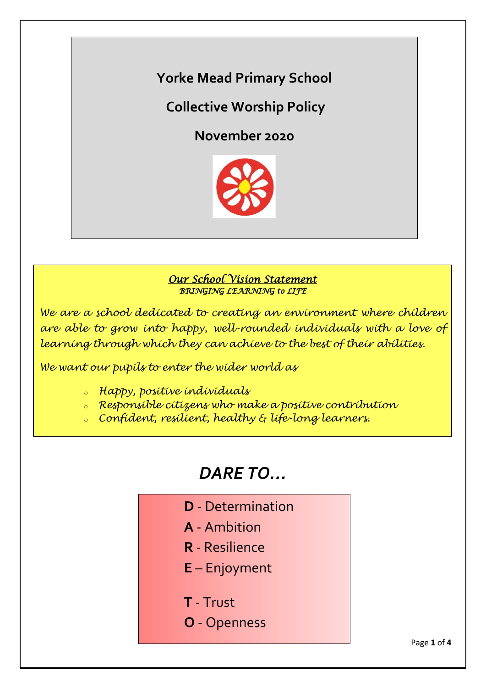**Yorke Mead Primary School**

# **Collective Worship Policy**

**November 2020**



# *Our School Vision Statement BRINGING LEARNING to LIFE*

*We are a school dedicated to creating an environment where children are able to grow into happy, well-rounded individuals with a love of learning through which they can achieve to the best of their abilities.*

*We want our pupils to enter the wider world as*

- *<sup>o</sup> Happy, positive individuals*
- *<sup>o</sup> Responsible citizens who make a positive contribution*
- *<sup>o</sup> Confident, resilient, healthy & life-long learners.*

# *DARE TO…*

- **D** Determination
- **A** Ambition
- **R** Resilience
- **E** Enjoyment
- **T** Trust
- **O** Openness

Page **1** of **4**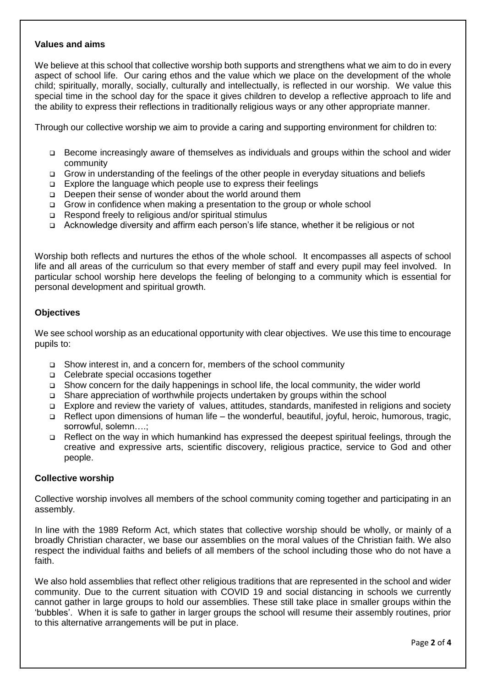# **Values and aims**

We believe at this school that collective worship both supports and strengthens what we aim to do in every aspect of school life. Our caring ethos and the value which we place on the development of the whole child; spiritually, morally, socially, culturally and intellectually, is reflected in our worship. We value this special time in the school day for the space it gives children to develop a reflective approach to life and the ability to express their reflections in traditionally religious ways or any other appropriate manner.

Through our collective worship we aim to provide a caring and supporting environment for children to:

- Become increasingly aware of themselves as individuals and groups within the school and wider community
- Grow in understanding of the feelings of the other people in everyday situations and beliefs
- □ Explore the language which people use to express their feelings
- □ Deepen their sense of wonder about the world around them
- Grow in confidence when making a presentation to the group or whole school
- $\Box$  Respond freely to religious and/or spiritual stimulus
- Acknowledge diversity and affirm each person's life stance, whether it be religious or not

Worship both reflects and nurtures the ethos of the whole school. It encompasses all aspects of school life and all areas of the curriculum so that every member of staff and every pupil may feel involved. In particular school worship here develops the feeling of belonging to a community which is essential for personal development and spiritual growth.

### **Objectives**

We see school worship as an educational opportunity with clear objectives. We use this time to encourage pupils to:

- Show interest in, and a concern for, members of the school community
- Celebrate special occasions together
- Show concern for the daily happenings in school life, the local community, the wider world
- Share appreciation of worthwhile projects undertaken by groups within the school
- Explore and review the variety of values, attitudes, standards, manifested in religions and society
- Reflect upon dimensions of human life the wonderful, beautiful, joyful, heroic, humorous, tragic, sorrowful, solemn....;
- Reflect on the way in which humankind has expressed the deepest spiritual feelings, through the creative and expressive arts, scientific discovery, religious practice, service to God and other people.

#### **Collective worship**

Collective worship involves all members of the school community coming together and participating in an assembly.

In line with the 1989 Reform Act, which states that collective worship should be wholly, or mainly of a broadly Christian character, we base our assemblies on the moral values of the Christian faith. We also respect the individual faiths and beliefs of all members of the school including those who do not have a faith.

We also hold assemblies that reflect other religious traditions that are represented in the school and wider community. Due to the current situation with COVID 19 and social distancing in schools we currently cannot gather in large groups to hold our assemblies. These still take place in smaller groups within the 'bubbles'. When it is safe to gather in larger groups the school will resume their assembly routines, prior to this alternative arrangements will be put in place.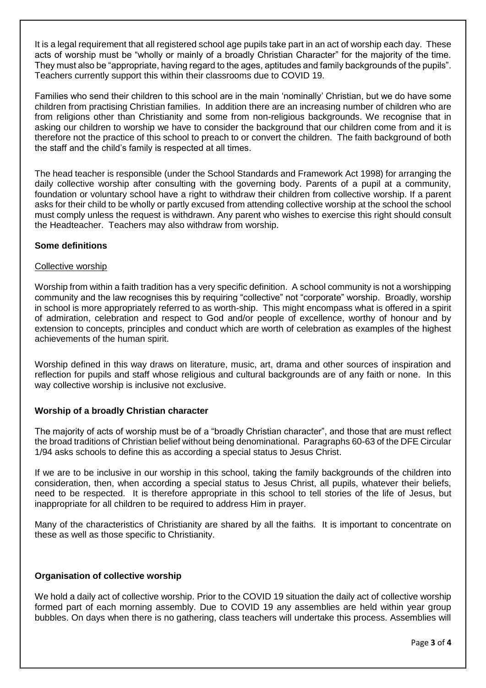It is a legal requirement that all registered school age pupils take part in an act of worship each day. These acts of worship must be "wholly or mainly of a broadly Christian Character" for the majority of the time. They must also be "appropriate, having regard to the ages, aptitudes and family backgrounds of the pupils". Teachers currently support this within their classrooms due to COVID 19.

Families who send their children to this school are in the main 'nominally' Christian, but we do have some children from practising Christian families. In addition there are an increasing number of children who are from religions other than Christianity and some from non-religious backgrounds. We recognise that in asking our children to worship we have to consider the background that our children come from and it is therefore not the practice of this school to preach to or convert the children. The faith background of both the staff and the child's family is respected at all times.

The head teacher is responsible (under the School Standards and Framework Act 1998) for arranging the daily collective worship after consulting with the governing body. Parents of a pupil at a community, foundation or voluntary school have a right to withdraw their children from collective worship. If a parent asks for their child to be wholly or partly excused from attending collective worship at the school the school must comply unless the request is withdrawn. Any parent who wishes to exercise this right should consult the Headteacher. Teachers may also withdraw from worship.

# **Some definitions**

# Collective worship

Worship from within a faith tradition has a very specific definition. A school community is not a worshipping community and the law recognises this by requiring "collective" not "corporate" worship. Broadly, worship in school is more appropriately referred to as worth-ship. This might encompass what is offered in a spirit of admiration, celebration and respect to God and/or people of excellence, worthy of honour and by extension to concepts, principles and conduct which are worth of celebration as examples of the highest achievements of the human spirit.

Worship defined in this way draws on literature, music, art, drama and other sources of inspiration and reflection for pupils and staff whose religious and cultural backgrounds are of any faith or none. In this way collective worship is inclusive not exclusive.

# **Worship of a broadly Christian character**

The majority of acts of worship must be of a "broadly Christian character", and those that are must reflect the broad traditions of Christian belief without being denominational. Paragraphs 60-63 of the DFE Circular 1/94 asks schools to define this as according a special status to Jesus Christ.

If we are to be inclusive in our worship in this school, taking the family backgrounds of the children into consideration, then, when according a special status to Jesus Christ, all pupils, whatever their beliefs, need to be respected. It is therefore appropriate in this school to tell stories of the life of Jesus, but inappropriate for all children to be required to address Him in prayer.

Many of the characteristics of Christianity are shared by all the faiths. It is important to concentrate on these as well as those specific to Christianity.

# **Organisation of collective worship**

We hold a daily act of collective worship. Prior to the COVID 19 situation the daily act of collective worship formed part of each morning assembly. Due to COVID 19 any assemblies are held within year group bubbles. On days when there is no gathering, class teachers will undertake this process. Assemblies will